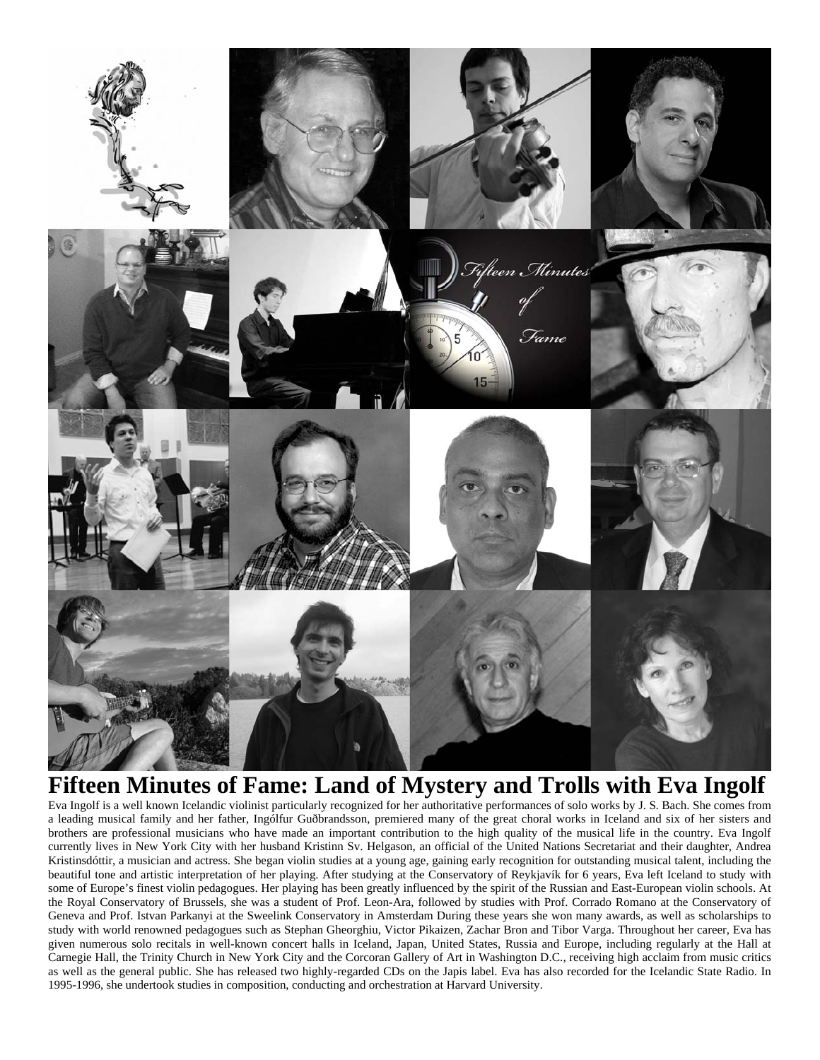

# **Fifteen Minutes of Fame: Land of Mystery and Trolls with Eva Ingolf**

Eva Ingolf is a well known Icelandic violinist particularly recognized for her authoritative performances of solo works by J. S. Bach. She comes from a leading musical family and her father, Ingólfur Guðbrandsson, premiered many of the great choral works in Iceland and six of her sisters and brothers are professional musicians who have made an important contribution to the high quality of the musical life in the country. Eva Ingolf currently lives in New York City with her husband Kristinn Sv. Helgason, an official of the United Nations Secretariat and their daughter, Andrea Kristinsdóttir, a musician and actress. She began violin studies at a young age, gaining early recognition for outstanding musical talent, including the beautiful tone and artistic interpretation of her playing. After studying at the Conservatory of Reykjavík for 6 years, Eva left Iceland to study with some of Europe's finest violin pedagogues. Her playing has been greatly influenced by the spirit of the Russian and East-European violin schools. At the Royal Conservatory of Brussels, she was a student of Prof. Leon-Ara, followed by studies with Prof. Corrado Romano at the Conservatory of Geneva and Prof. Istvan Parkanyi at the Sweelink Conservatory in Amsterdam During these years she won many awards, as well as scholarships to study with world renowned pedagogues such as Stephan Gheorghiu, Victor Pikaizen, Zachar Bron and Tibor Varga. Throughout her career, Eva has given numerous solo recitals in well-known concert halls in Iceland, Japan, United States, Russia and Europe, including regularly at the Hall at Carnegie Hall, the Trinity Church in New York City and the Corcoran Gallery of Art in Washington D.C., receiving high acclaim from music critics as well as the general public. She has released two highly-regarded CDs on the Japis label. Eva has also recorded for the Icelandic State Radio. In 1995-1996, she undertook studies in composition, conducting and orchestration at Harvard University.